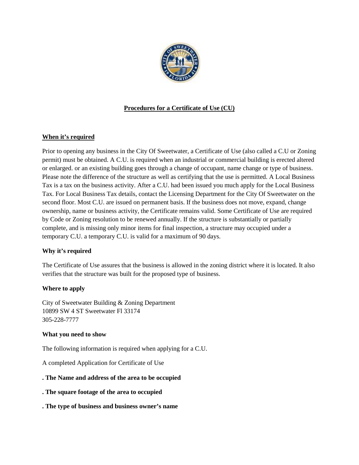

# **Procedures for a Certificate of Use (CU)**

# **When it's required**

Prior to opening any business in the City Of Sweetwater, a Certificate of Use (also called a C.U or Zoning permit) must be obtained. A C.U. is required when an industrial or commercial building is erected altered or enlarged. or an existing building goes through a change of occupant, name change or type of business. Please note the difference of the structure as well as certifying that the use is permitted. A Local Business Tax is a tax on the business activity. After a C.U. had been issued you much apply for the Local Business Tax. For Local Business Tax details, contact the Licensing Department for the City Of Sweetwater on the second floor. Most C.U. are issued on permanent basis. If the business does not move, expand, change ownership, name or business activity, the Certificate remains valid. Some Certificate of Use are required by Code or Zoning resolution to be renewed annually. If the structure is substantially or partially complete, and is missing only minor items for final inspection, a structure may occupied under a temporary C.U. a temporary C.U. is valid for a maximum of 90 days.

## **Why it's required**

The Certificate of Use assures that the business is allowed in the zoning district where it is located. It also verifies that the structure was built for the proposed type of business.

## **Where to apply**

City of Sweetwater Building & Zoning Department 10899 SW 4 ST Sweetwater Fl 33174 305-228-7777

#### **What you need to show**

The following information is required when applying for a C.U.

A completed Application for Certificate of Use

#### **. The Name and address of the area to be occupied**

- **. The square footage of the area to occupied**
- **. The type of business and business owner's name**